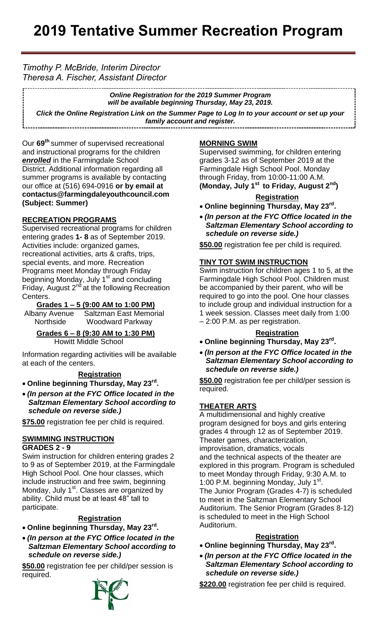# *Timothy P. McBride, Interim Director Theresa A. Fischer, Assistant Director*

*Online Registration for the 2019 Summer Program will be available beginning Thursday, May 23, 2019. Click the Online Registration Link on the Summer Page to Log In to your account or set up your family account and register.* \_\_\_\_\_\_\_\_\_\_\_\_\_\_\_\_\_\_\_\_\_\_\_\_\_\_

**www.farmingdaleyouthcouncil.com**

Our **69 th** summer of supervised recreational and instructional programs for the children *enrolled* in the Farmingdale School District. Additional information regarding all summer programs is available by contacting our office at (516) 694-0916 **or by email at contactus@farmingdaleyouthcouncil.com (Subject: Summer)**

## **RECREATION PROGRAMS**

Supervised recreational programs for children entering grades **1- 8** as of September 2019. Activities include: organized games, recreational activities, arts & crafts, trips, special events, and more. Recreation Programs meet Monday through Friday beginning Monday, July 1<sup>st</sup> and concluding **Friday, August 2<sup>nd</sup> at the following Recreation** Centers.

### **Grades 1 – 5 (9:00 AM to 1:00 PM)**

Albany Avenue Saltzman East Memorial Northside Woodward Parkway

 **Grades 6 – 8 (9:30 AM to 1:30 PM)** Howitt Middle School

Information regarding activities will be available at each of the centers.

### **Registration**

- **Online beginning Thursday, May 23rd .**
- *(In person at the FYC Office located in the Saltzman Elementary School according to schedule on reverse side.)*

**\$75.00** registration fee per child is required.

#### **SWIMMING INSTRUCTION GRADES 2 - 9**

Swim instruction for children entering grades 2 to 9 as of September 2019, at the Farmingdale High School Pool. One hour classes, which include instruction and free swim, beginning Monday, July 1<sup>st</sup>. Classes are organized by ability. Child must be at least 48" tall to participate.

### **Registration**

- **Online beginning Thursday, May 23rd .**
- *(In person at the FYC Office located in the Saltzman Elementary School according to schedule on reverse side.)*

**\$50.00** registration fee per child/per session is required.



### **MORNING SWIM**

Supervised swimming, for children entering grades 3-12 as of September 2019 at the Farmingdale High School Pool. Monday through Friday, from 10:00-11:00 A.M. **(Monday, July 1st to Friday, August 2nd)**

### **Registration**

- **Online beginning Thursday, May 23rd .**
- *(In person at the FYC Office located in the Saltzman Elementary School according to schedule on reverse side.)*

**\$50.00** registration fee per child is required.

#### **TINY TOT SWIM INSTRUCTION**

Swim instruction for children ages 1 to 5, at the Farmingdale High School Pool. Children must be accompanied by their parent, who will be required to go into the pool. One hour classes to include group and individual instruction for a 1 week session. Classes meet daily from 1:00 – 2:00 P.M. as per registration.

#### **Registration**

- **Online beginning Thursday, May 23rd .**
- *(In person at the FYC Office located in the Saltzman Elementary School according to schedule on reverse side.)*

**\$50.00** registration fee per child/per session is required.

### **THEATER ARTS**

A multidimensional and highly creative program designed for boys and girls entering grades 4 through 12 as of September 2019. Theater games, characterization, improvisation, dramatics, vocals and the technical aspects of the theater are explored in this program. Program is scheduled to meet Monday through Friday, 9:30 A.M. to 1:00 P.M. beginning Monday, July 1<sup>st</sup>. The Junior Program (Grades 4-7) is scheduled to meet in the Saltzman Elementary School Auditorium. The Senior Program (Grades 8-12) is scheduled to meet in the High School Auditorium.

#### **Registration**

- **Online beginning Thursday, May 23rd .**
- *(In person at the FYC Office located in the Saltzman Elementary School according to schedule on reverse side.)*

\$220.00 registration fee per child is required.